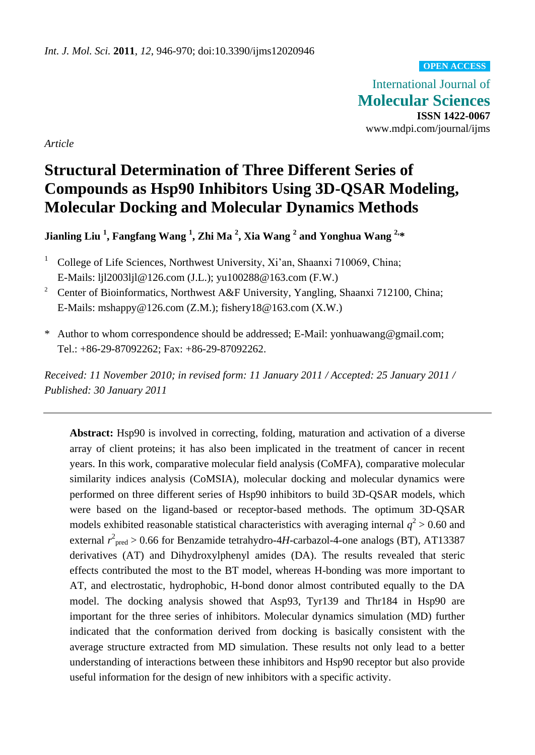**OPEN ACCESS**

International Journal of **Molecular Sciences ISSN 1422-0067** www.mdpi.com/journal/ijms

*Article*

# **Structural Determination of Three Different Series of Compounds as Hsp90 Inhibitors Using 3D-QSAR Modeling, Molecular Docking and Molecular Dynamics Methods**

**Jianling Liu <sup>1</sup> , Fangfang Wang <sup>1</sup> , Zhi Ma <sup>2</sup> , Xia Wang <sup>2</sup> and Yonghua Wang 2,\***

<sup>1</sup> College of Life Sciences, Northwest University, Xi'an, Shaanxi 710069, China; E-Mails: ljl2003ljl@126.com (J.L.); yu100288@163.com (F.W.)

- <sup>2</sup> Center of Bioinformatics, Northwest A&F University, Yangling, Shaanxi 712100, China; E-Mails: mshappy@126.com (Z.M.); fishery18@163.com (X.W.)
- \* Author to whom correspondence should be addressed; E-Mail: yonhuawang@gmail.com; Tel.: +86-29-87092262; Fax: +86-29-87092262.

*Received: 11 November 2010; in revised form: 11 January 2011 / Accepted: 25 January 2011 / Published: 30 January 2011*

**Abstract:** Hsp90 is involved in correcting, folding, maturation and activation of a diverse array of client proteins; it has also been implicated in the treatment of cancer in recent years. In this work, comparative molecular field analysis (CoMFA), comparative molecular similarity indices analysis (CoMSIA), molecular docking and molecular dynamics were performed on three different series of Hsp90 inhibitors to build 3D-QSAR models, which were based on the ligand-based or receptor-based methods. The optimum 3D-QSAR models exhibited reasonable statistical characteristics with averaging internal  $q^2 > 0.60$  and external  $r^2_{\text{pred}} > 0.66$  for Benzamide tetrahydro-4H-carbazol-4-one analogs (BT), AT13387 derivatives (AT) and Dihydroxylphenyl amides (DA). The results revealed that steric effects contributed the most to the BT model, whereas H-bonding was more important to AT, and electrostatic, hydrophobic, H-bond donor almost contributed equally to the DA model. The docking analysis showed that Asp93, Tyr139 and Thr184 in Hsp90 are important for the three series of inhibitors. Molecular dynamics simulation (MD) further indicated that the conformation derived from docking is basically consistent with the average structure extracted from MD simulation. These results not only lead to a better understanding of interactions between these inhibitors and Hsp90 receptor but also provide useful information for the design of new inhibitors with a specific activity.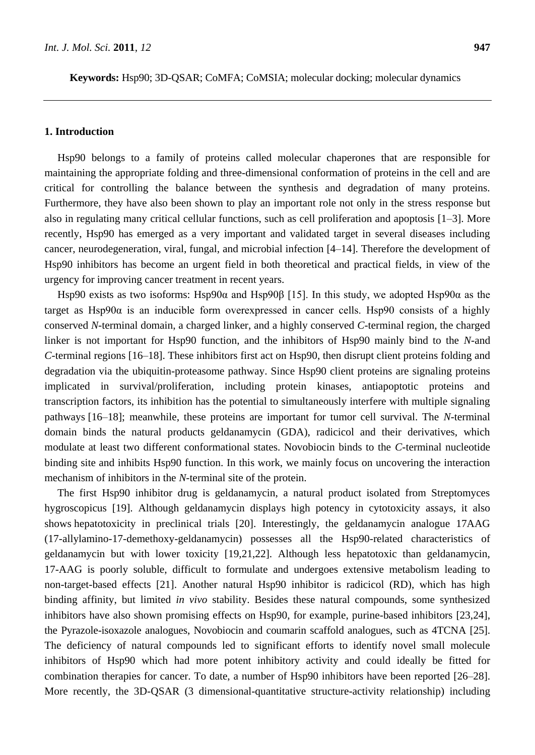## **1. Introduction**

Hsp90 belongs to a family of proteins called molecular chaperones that are responsible for maintaining the appropriate folding and three-dimensional conformation of proteins in the cell and are critical for controlling the balance between the synthesis and degradation of many proteins. Furthermore, they have also been shown to play an important role not only in the stress response but also in regulating many critical cellular functions, such as cell proliferation and apoptosis [1–3]. More recently, Hsp90 has emerged as a very important and validated target in several diseases including cancer, neurodegeneration, viral, fungal, and microbial infection [4–14]. Therefore the development of Hsp90 inhibitors has become an urgent field in both theoretical and practical fields, in view of the urgency for improving cancer treatment in recent years.

Hsp90 exists as two isoforms: Hsp90α and Hsp90β [15]. In this study, we adopted Hsp90α as the target as Hsp90α is an inducible form overexpressed in cancer cells. Hsp90 consists of a highly conserved *N*-terminal domain, a charged linker, and a highly conserved *C*-terminal region, the charged linker is not important for Hsp90 function, and the inhibitors of Hsp90 mainly bind to the *N*-and *C*-terminal regions [16–18]. These inhibitors first act on Hsp90, then disrupt client proteins folding and degradation via the ubiquitin-proteasome pathway. Since Hsp90 client proteins are signaling proteins implicated in survival/proliferation, including protein kinases, antiapoptotic proteins and transcription factors, its inhibition has the potential to simultaneously interfere with multiple signaling pathways [16–18]; meanwhile, these proteins are important for tumor cell survival. The *N*-terminal domain binds the natural products geldanamycin (GDA), radicicol and their derivatives, which modulate at least two different conformational states. Novobiocin binds to the *C*-terminal nucleotide binding site and inhibits Hsp90 function. In this work, we mainly focus on uncovering the interaction mechanism of inhibitors in the *N*-terminal site of the protein.

The first Hsp90 inhibitor drug is geldanamycin, a natural product isolated from Streptomyces hygroscopicus [19]. Although geldanamycin displays high potency in cytotoxicity assays, it also shows hepatotoxicity in preclinical trials [20]. Interestingly, the geldanamycin analogue 17AAG (17-allylamino-17-demethoxy-geldanamycin) possesses all the Hsp90-related characteristics of geldanamycin but with lower toxicity [19,21,22]. Although less hepatotoxic than geldanamycin, 17-AAG is poorly soluble, difficult to formulate and undergoes extensive metabolism leading to non-target-based effects [21]. Another natural Hsp90 inhibitor is radicicol (RD), which has high binding affinity, but limited *in vivo* stability. Besides these natural compounds, some synthesized inhibitors have also shown promising effects on Hsp90, for example, purine-based inhibitors [23,24], the Pyrazole-isoxazole analogues, Novobiocin and coumarin scaffold analogues, such as 4TCNA [25]. The deficiency of natural compounds led to significant efforts to identify novel small molecule inhibitors of Hsp90 which had more potent inhibitory activity and could ideally be fitted for combination therapies for cancer. To date, a number of Hsp90 inhibitors have been reported [26–28]. More recently, the 3D-QSAR (3 dimensional-quantitative structure-activity relationship) including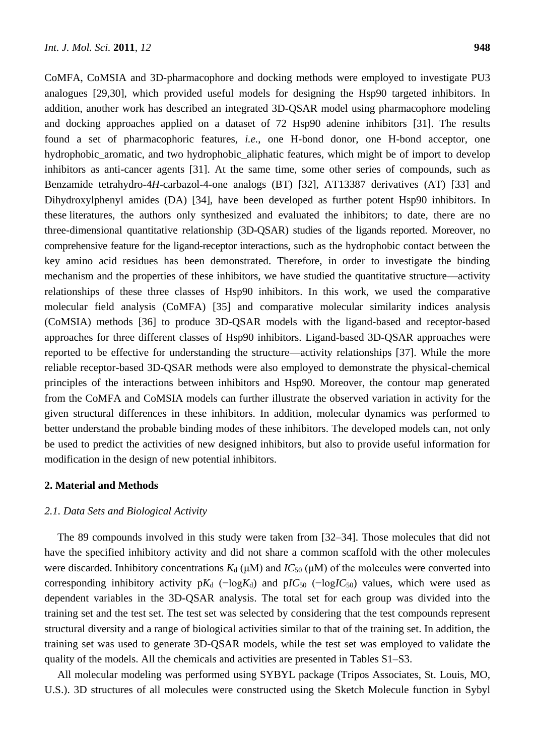CoMFA, CoMSIA and 3D-pharmacophore and docking methods were employed to investigate PU3 analogues [29,30], which provided useful models for designing the Hsp90 targeted inhibitors. In addition, another work has described an integrated 3D-QSAR model using pharmacophore modeling and docking approaches applied on a dataset of 72 Hsp90 adenine inhibitors [31]. The results found a set of pharmacophoric features, *i.e.*, one H-bond donor, one H-bond acceptor, one hydrophobic aromatic, and two hydrophobic aliphatic features, which might be of import to develop inhibitors as anti-cancer agents [31]. At the same time, some other series of compounds, such as Benzamide tetrahydro-4*H*-carbazol-4-one analogs (BT) [32], AT13387 derivatives (AT) [33] and Dihydroxylphenyl amides (DA) [34], have been developed as further potent Hsp90 inhibitors. In these literatures, the authors only synthesized and evaluated the inhibitors; to date, there are no three-dimensional quantitative relationship (3D-QSAR) studies of the ligands reported. Moreover, no comprehensive feature for the ligand-receptor interactions, such as the hydrophobic contact between the key amino acid residues has been demonstrated. Therefore, in order to investigate the binding mechanism and the properties of these inhibitors, we have studied the quantitative structure—activity relationships of these three classes of Hsp90 inhibitors. In this work, we used the comparative molecular field analysis (CoMFA) [35] and comparative molecular similarity indices analysis (CoMSIA) methods [36] to produce 3D-QSAR models with the ligand-based and receptor-based approaches for three different classes of Hsp90 inhibitors. Ligand-based 3D-QSAR approaches were reported to be effective for understanding the structure—activity relationships [37]. While the more reliable receptor-based 3D-QSAR methods were also employed to demonstrate the physical-chemical principles of the interactions between inhibitors and Hsp90. Moreover, the contour map generated from the CoMFA and CoMSIA models can further illustrate the observed variation in activity for the given structural differences in these inhibitors. In addition, molecular dynamics was performed to better understand the probable binding modes of these inhibitors. The developed models can, not only be used to predict the activities of new designed inhibitors, but also to provide useful information for modification in the design of new potential inhibitors.

#### **2. Material and Methods**

# *2.1. Data Sets and Biological Activity*

The 89 compounds involved in this study were taken from [32–34]. Those molecules that did not have the specified inhibitory activity and did not share a common scaffold with the other molecules were discarded. Inhibitory concentrations  $K_d$  ( $\mu$ M) and  $IC_{50}$  ( $\mu$ M) of the molecules were converted into corresponding inhibitory activity p $K_d$  (−log $K_d$ ) and p $IC_{50}$  (−log $IC_{50}$ ) values, which were used as dependent variables in the 3D-QSAR analysis. The total set for each group was divided into the training set and the test set. The test set was selected by considering that the test compounds represent structural diversity and a range of biological activities similar to that of the training set. In addition, the training set was used to generate 3D-QSAR models, while the test set was employed to validate the quality of the models. All the chemicals and activities are presented in Tables S1–S3.

All molecular modeling was performed using SYBYL package (Tripos Associates, St. Louis, MO, U.S.). 3D structures of all molecules were constructed using the Sketch Molecule function in Sybyl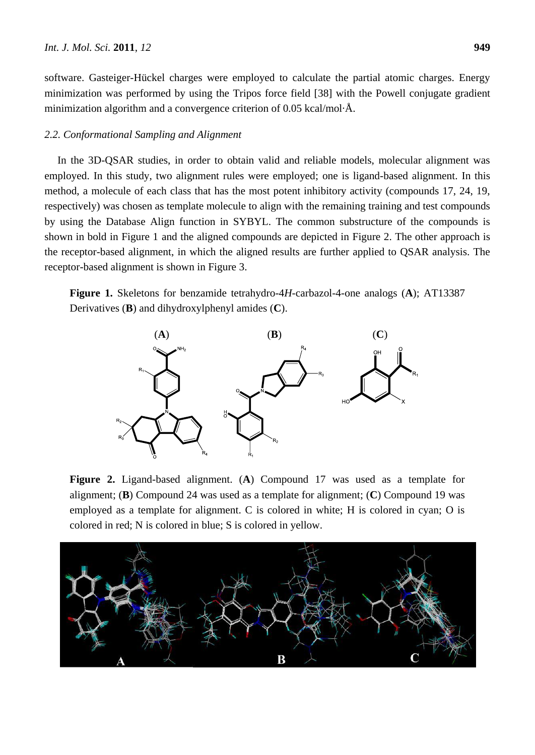software. Gasteiger-Hückel charges were employed to calculate the partial atomic charges. Energy minimization was performed by using the Tripos force field [38] with the Powell conjugate gradient minimization algorithm and a convergence criterion of 0.05 kcal/mol·Å.

## *2.2. Conformational Sampling and Alignment*

In the 3D-QSAR studies, in order to obtain valid and reliable models, molecular alignment was employed. In this study, two alignment rules were employed; one is ligand-based alignment. In this method, a molecule of each class that has the most potent inhibitory activity (compounds 17, 24, 19, respectively) was chosen as template molecule to align with the remaining training and test compounds by using the Database Align function in SYBYL. The common substructure of the compounds is shown in bold in Figure 1 and the aligned compounds are depicted in Figure 2. The other approach is the receptor-based alignment, in which the aligned results are further applied to QSAR analysis. The receptor-based alignment is shown in Figure 3.

**Figure 1.** Skeletons for benzamide tetrahydro-4*H*-carbazol-4-one analogs (**A**); AT13387 Derivatives (**B**) and dihydroxylphenyl amides (**C**).



**Figure 2.** Ligand-based alignment. (**A**) Compound 17 was used as a template for alignment; (**B**) Compound 24 was used as a template for alignment; (**C**) Compound 19 was employed as a template for alignment. C is colored in white; H is colored in cyan; O is colored in red; N is colored in blue; S is colored in yellow.

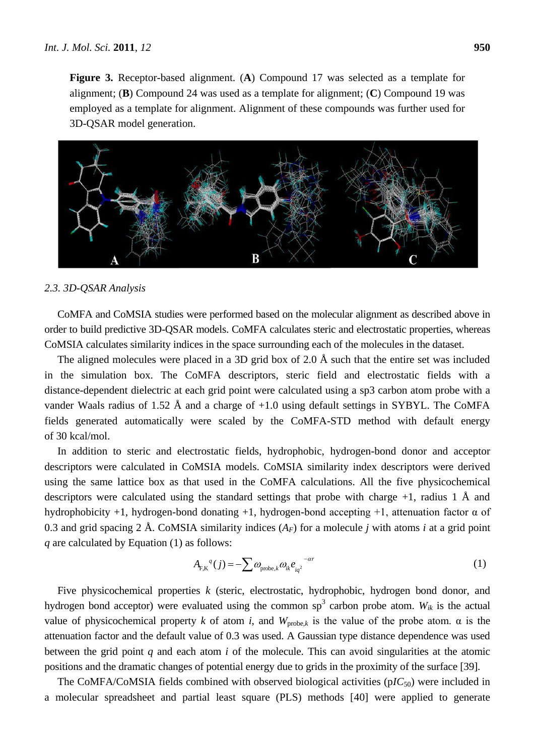**Figure 3.** Receptor-based alignment. (**A**) Compound 17 was selected as a template for alignment; (**B**) Compound 24 was used as a template for alignment; (**C**) Compound 19 was employed as a template for alignment. Alignment of these compounds was further used for 3D-QSAR model generation.



# *2.3. 3D-QSAR Analysis*

CoMFA and CoMSIA studies were performed based on the molecular alignment as described above in order to build predictive 3D-QSAR models. CoMFA calculates steric and electrostatic properties, whereas CoMSIA calculates similarity indices in the space surrounding each of the molecules in the dataset.

The aligned molecules were placed in a 3D grid box of 2.0 Å such that the entire set was included in the simulation box. The CoMFA descriptors, steric field and electrostatic fields with a distance-dependent dielectric at each grid point were calculated using a sp3 carbon atom probe with a vander Waals radius of 1.52 Å and a charge of +1.0 using default settings in SYBYL. The CoMFA fields generated automatically were scaled by the CoMFA-STD method with default energy of 30 kcal/mol.

In addition to steric and electrostatic fields, hydrophobic, hydrogen-bond donor and acceptor descriptors were calculated in CoMSIA models. CoMSIA similarity index descriptors were derived using the same lattice box as that used in the CoMFA calculations. All the five physicochemical descriptors were calculated using the standard settings that probe with charge  $+1$ , radius 1 Å and hydrophobicity +1, hydrogen-bond donating +1, hydrogen-bond accepting +1, attenuation factor  $\alpha$  of 0.3 and grid spacing 2 Å. CoMSIA similarity indices  $(A_F)$  for a molecule *j* with atoms *i* at a grid point *q* are calculated by Equation (1) as follows:

$$
A_{F,K}^q(j) = -\sum \omega_{\text{probe},k} \omega_{ik} e_{iq^2}^{q} \tag{1}
$$

Five physicochemical properties *k* (steric, electrostatic, hydrophobic, hydrogen bond donor, and hydrogen bond acceptor) were evaluated using the common  $sp^3$  carbon probe atom.  $W_{ik}$  is the actual value of physicochemical property *k* of atom *i*, and  $W_{\text{probe},k}$  is the value of the probe atom.  $\alpha$  is the attenuation factor and the default value of 0.3 was used. A Gaussian type distance dependence was used between the grid point *q* and each atom *i* of the molecule. This can avoid singularities at the atomic positions and the dramatic changes of potential energy due to grids in the proximity of the surface [39].

The CoMFA/CoMSIA fields combined with observed biological activities (pIC<sub>50</sub>) were included in a molecular spreadsheet and partial least square (PLS) methods [40] were applied to generate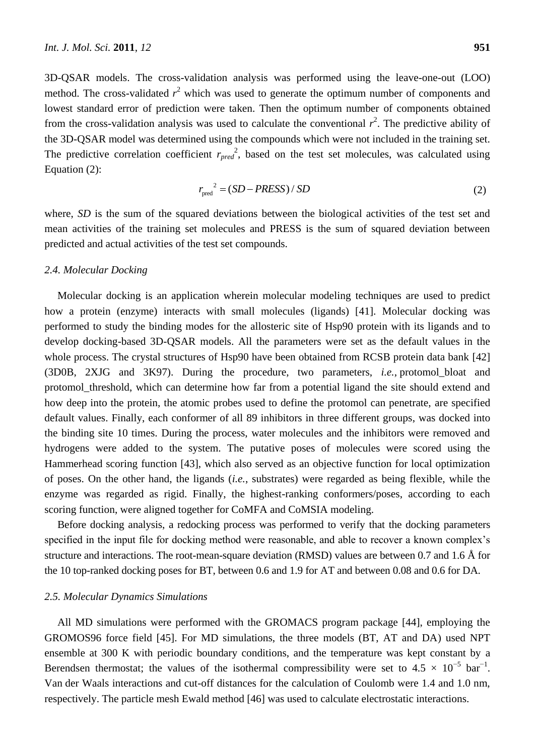3D-QSAR models. The cross-validation analysis was performed using the leave-one-out (LOO) method. The cross-validated  $r^2$  which was used to generate the optimum number of components and lowest standard error of prediction were taken. Then the optimum number of components obtained from the cross-validation analysis was used to calculate the conventional  $r^2$ . The predictive ability of the 3D-QSAR model was determined using the compounds which were not included in the training set. The predictive correlation coefficient  $r_{pred}^2$ , based on the test set molecules, was calculated using Equation (2):

$$
r_{\text{pred}}^{2} = (SD - PRESS) / SD \tag{2}
$$

where, *SD* is the sum of the squared deviations between the biological activities of the test set and mean activities of the training set molecules and PRESS is the sum of squared deviation between predicted and actual activities of the test set compounds.

#### *2.4. Molecular Docking*

Molecular docking is an application wherein molecular modeling techniques are used to predict how a protein (enzyme) interacts with small molecules (ligands) [41]. Molecular docking was performed to study the binding modes for the allosteric site of Hsp90 protein with its ligands and to develop docking-based 3D-QSAR models. All the parameters were set as the default values in the whole process. The crystal structures of Hsp90 have been obtained from RCSB protein data bank [42] (3D0B, 2XJG and 3K97). During the procedure, two parameters, *i.e.*, protomol\_bloat and protomol\_threshold, which can determine how far from a potential ligand the site should extend and how deep into the protein, the atomic probes used to define the protomol can penetrate, are specified default values. Finally, each conformer of all 89 inhibitors in three different groups, was docked into the binding site 10 times. During the process, water molecules and the inhibitors were removed and hydrogens were added to the system. The putative poses of molecules were scored using the Hammerhead scoring function [43], which also served as an objective function for local optimization of poses. On the other hand, the ligands (*i.e.*, substrates) were regarded as being flexible, while the enzyme was regarded as rigid. Finally, the highest-ranking conformers/poses, according to each scoring function, were aligned together for CoMFA and CoMSIA modeling. where, 9D is the sum of the quared deviations between the biological activities of the test sen<br>mean activities of the teraining set molecules and PRESS is the sum of squared deviation between<br>predicted and extual method

Before docking analysis, a redocking process was performed to verify that the docking parameters specified in the input file for docking method were reasonable, and able to recover a known complex's structure and interactions. The root-mean-square deviation (RMSD) values are between 0.7 and 1.6 Å for the 10 top-ranked docking poses for BT, between 0.6 and 1.9 for AT and between 0.08 and 0.6 for DA.

## *2.5. Molecular Dynamics Simulations*

All MD simulations were performed with the GROMACS program package [44], employing the GROMOS96 force field [45]. For MD simulations, the three models (BT, AT and DA) used NPT ensemble at 300 K with periodic boundary conditions, and the temperature was kept constant by a Berendsen thermostat; the values of the isothermal compressibility were set to  $4.5 \times 10^{-5}$  bar<sup>-1</sup>. Van der Waals interactions and cut-off distances for the calculation of Coulomb were 1.4 and 1.0 nm,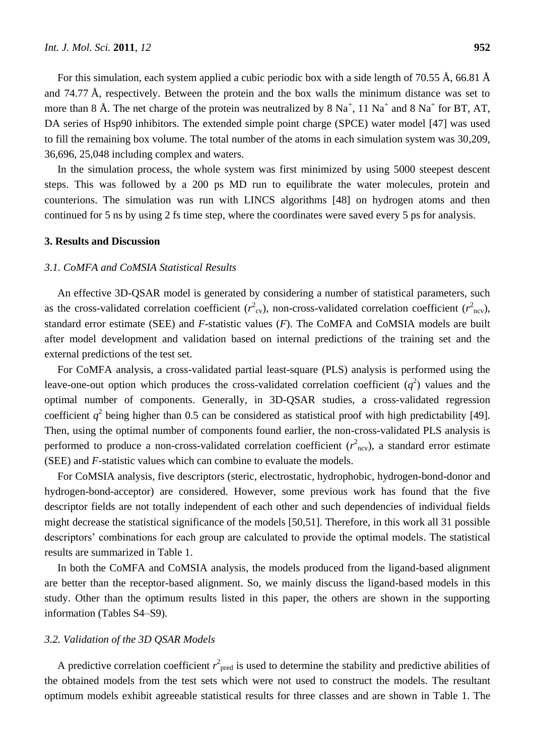For this simulation, each system applied a cubic periodic box with a side length of 70.55 Å, 66.81 Å and 74.77 Å, respectively. Between the protein and the box walls the minimum distance was set to more than 8 Å. The net charge of the protein was neutralized by  $8 \text{ Na}^+$ ,  $11 \text{ Na}^+$  and  $8 \text{ Na}^+$  for BT, AT, DA series of Hsp90 inhibitors. The extended simple point charge (SPCE) water model [47] was used to fill the remaining box volume. The total number of the atoms in each simulation system was 30,209, 36,696, 25,048 including complex and waters.

In the simulation process, the whole system was first minimized by using 5000 steepest descent steps. This was followed by a 200 ps MD run to equilibrate the water molecules, protein and counterions. The simulation was run with LINCS algorithms [48] on hydrogen atoms and then continued for 5 ns by using 2 fs time step, where the coordinates were saved every 5 ps for analysis.

#### **3. Results and Discussion**

# *3.1. CoMFA and CoMSIA Statistical Results*

An effective 3D-QSAR model is generated by considering a number of statistical parameters, such as the cross-validated correlation coefficient  $(r^2_{\text{cv}})$ , non-cross-validated correlation coefficient  $(r^2_{\text{ncv}})$ , standard error estimate (SEE) and *F*-statistic values (*F*). The CoMFA and CoMSIA models are built after model development and validation based on internal predictions of the training set and the external predictions of the test set.

For CoMFA analysis, a cross-validated partial least-square (PLS) analysis is performed using the leave-one-out option which produces the cross-validated correlation coefficient  $(q^2)$  values and the optimal number of components. Generally, in 3D-QSAR studies, a cross-validated regression coefficient  $q^2$  being higher than 0.5 can be considered as statistical proof with high predictability [49]. Then, using the optimal number of components found earlier, the non-cross-validated PLS analysis is performed to produce a non-cross-validated correlation coefficient  $(r^2_{\text{ncv}})$ , a standard error estimate (SEE) and *F*-statistic values which can combine to evaluate the models.

For CoMSIA analysis, five descriptors (steric, electrostatic, hydrophobic, hydrogen-bond-donor and hydrogen-bond-acceptor) are considered. However, some previous work has found that the five descriptor fields are not totally independent of each other and such dependencies of individual fields might decrease the statistical significance of the models [50,51]. Therefore, in this work all 31 possible descriptors' combinations for each group are calculated to provide the optimal models. The statistical results are summarized in Table 1.

In both the CoMFA and CoMSIA analysis, the models produced from the ligand-based alignment are better than the receptor-based alignment. So, we mainly discuss the ligand-based models in this study. Other than the optimum results listed in this paper, the others are shown in the supporting information (Tables S4–S9).

## *3.2. Validation of the 3D QSAR Models*

A predictive correlation coefficient  $r_{pred}^2$  is used to determine the stability and predictive abilities of the obtained models from the test sets which were not used to construct the models. The resultant optimum models exhibit agreeable statistical results for three classes and are shown in Table 1. The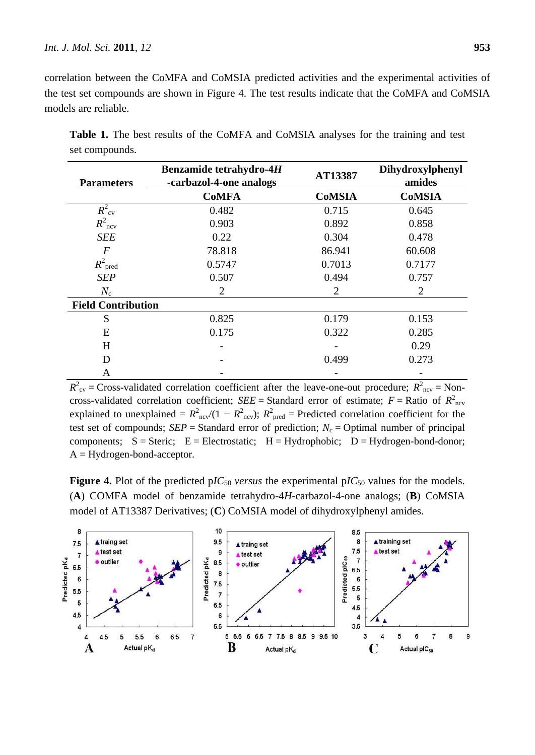correlation between the CoMFA and CoMSIA predicted activities and the experimental activities of the test set compounds are shown in Figure 4. The test results indicate that the CoMFA and CoMSIA models are reliable.

| <b>Parameters</b>         | Benzamide tetrahydro-4H<br>-carbazol-4-one analogs | AT13387        | <b>Dihydroxylphenyl</b><br>amides |
|---------------------------|----------------------------------------------------|----------------|-----------------------------------|
|                           | <b>CoMFA</b>                                       | <b>CoMSIA</b>  | <b>CoMSIA</b>                     |
| $R_{\text{cv}}^2$         | 0.482                                              | 0.715          | 0.645                             |
| $R^2_{\text{ncv}}$        | 0.903                                              | 0.892          | 0.858                             |
| <b>SEE</b>                | 0.22                                               | 0.304          | 0.478                             |
| F                         | 78.818                                             | 86.941         | 60.608                            |
| $R^2$ <sub>pred</sub>     | 0.5747                                             | 0.7013         | 0.7177                            |
| <b>SEP</b>                | 0.507                                              | 0.494          | 0.757                             |
| $N_c$                     | 2                                                  | $\overline{2}$ | 2                                 |
| <b>Field Contribution</b> |                                                    |                |                                   |
| S                         | 0.825                                              | 0.179          | 0.153                             |
| E                         | 0.175                                              | 0.322          | 0.285                             |
| H                         |                                                    |                | 0.29                              |
| D                         |                                                    | 0.499          | 0.273                             |
| A                         |                                                    |                |                                   |

Table 1. The best results of the CoMFA and CoMSIA analyses for the training and test set compounds.

 $R^2_{\text{cv}}$  = Cross-validated correlation coefficient after the leave-one-out procedure;  $R^2_{\text{ncv}}$  = Noncross-validated correlation coefficient; *SEE* = Standard error of estimate;  $F =$  Ratio of  $R^2_{\text{ncv}}$ explained to unexplained =  $R^2_{\text{ncv}}/(1 - R^2_{\text{ncv}})$ ;  $R^2_{\text{pred}}$  = Predicted correlation coefficient for the test set of compounds;  $SEP = Standard$  error of prediction;  $N_c = Optimal$  number of principal components;  $S =$  Steric;  $E =$  Electrostatic;  $H =$  Hydrophobic;  $D =$  Hydrogen-bond-donor; A = Hydrogen-bond-acceptor.

**Figure 4.** Plot of the predicted  $p/C_{50}$  *versus* the experimental  $p/C_{50}$  values for the models. (**A**) COMFA model of benzamide tetrahydro-4*H*-carbazol-4-one analogs; (**B**) CoMSIA model of AT13387 Derivatives; (**C**) CoMSIA model of dihydroxylphenyl amides.

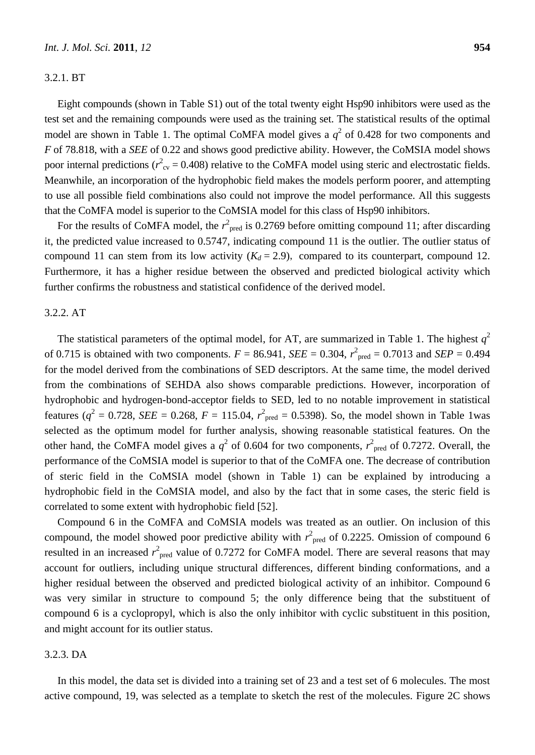## 3.2.1. BT

Eight compounds (shown in Table S1) out of the total twenty eight Hsp90 inhibitors were used as the test set and the remaining compounds were used as the training set. The statistical results of the optimal model are shown in Table 1. The optimal CoMFA model gives a  $q^2$  of 0.428 for two components and *F* of 78.818, with a *SEE* of 0.22 and shows good predictive ability. However, the CoMSIA model shows poor internal predictions ( $r_{\text{cv}}^2 = 0.408$ ) relative to the CoMFA model using steric and electrostatic fields. Meanwhile, an incorporation of the hydrophobic field makes the models perform poorer, and attempting to use all possible field combinations also could not improve the model performance. All this suggests that the CoMFA model is superior to the CoMSIA model for this class of Hsp90 inhibitors.

For the results of CoMFA model, the  $r^2_{\text{pred}}$  is 0.2769 before omitting compound 11; after discarding it, the predicted value increased to 0.5747, indicating compound 11 is the outlier. The outlier status of compound 11 can stem from its low activity  $(K_d = 2.9)$ , compared to its counterpart, compound 12. Furthermore, it has a higher residue between the observed and predicted biological activity which further confirms the robustness and statistical confidence of the derived model.

# 3.2.2. AT

The statistical parameters of the optimal model, for AT, are summarized in Table 1. The highest  $q^2$ of 0.715 is obtained with two components.  $F = 86.941$ ,  $SEE = 0.304$ ,  $r^2_{pred} = 0.7013$  and  $SEP = 0.494$ for the model derived from the combinations of SED descriptors. At the same time, the model derived from the combinations of SEHDA also shows comparable predictions. However, incorporation of hydrophobic and hydrogen-bond-acceptor fields to SED, led to no notable improvement in statistical features ( $q^2 = 0.728$ , *SEE* = 0.268,  $F = 115.04$ ,  $r^2_{\text{pred}} = 0.5398$ ). So, the model shown in Table 1was selected as the optimum model for further analysis, showing reasonable statistical features. On the other hand, the CoMFA model gives a  $q^2$  of 0.604 for two components,  $r^2_{\text{pred}}$  of 0.7272. Overall, the performance of the CoMSIA model is superior to that of the CoMFA one. The decrease of contribution of steric field in the CoMSIA model (shown in Table 1) can be explained by introducing a hydrophobic field in the CoMSIA model, and also by the fact that in some cases, the steric field is correlated to some extent with hydrophobic field [52].

Compound 6 in the CoMFA and CoMSIA models was treated as an outlier. On inclusion of this compound, the model showed poor predictive ability with  $r_{pred}^2$  of 0.2225. Omission of compound 6 resulted in an increased  $r_{pred}^2$  value of 0.7272 for CoMFA model. There are several reasons that may account for outliers, including unique structural differences, different binding conformations, and a higher residual between the observed and predicted biological activity of an inhibitor. Compound 6 was very similar in structure to compound 5; the only difference being that the substituent of compound 6 is a cyclopropyl, which is also the only inhibitor with cyclic substituent in this position, and might account for its outlier status.

# 3.2.3. DA

In this model, the data set is divided into a training set of 23 and a test set of 6 molecules. The most active compound, 19, was selected as a template to sketch the rest of the molecules. Figure 2C shows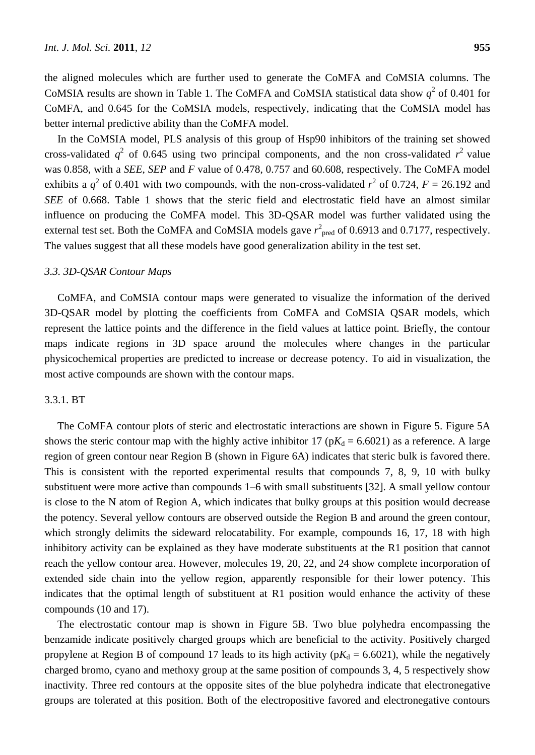the aligned molecules which are further used to generate the CoMFA and CoMSIA columns. The CoMSIA results are shown in Table 1. The CoMFA and CoMSIA statistical data show  $q^2$  of 0.401 for CoMFA, and 0.645 for the CoMSIA models, respectively, indicating that the CoMSIA model has better internal predictive ability than the CoMFA model.

In the CoMSIA model, PLS analysis of this group of Hsp90 inhibitors of the training set showed cross-validated  $q^2$  of 0.645 using two principal components, and the non cross-validated  $r^2$  value was 0.858, with a *SEE*, *SEP* and *F* value of 0.478, 0.757 and 60.608, respectively. The CoMFA model exhibits a  $q^2$  of 0.401 with two compounds, with the non-cross-validated  $r^2$  of 0.724,  $F = 26.192$  and *SEE* of 0.668. Table 1 shows that the steric field and electrostatic field have an almost similar influence on producing the CoMFA model. This 3D-QSAR model was further validated using the external test set. Both the CoMFA and CoMSIA models gave  $r^2_{\text{pred}}$  of 0.6913 and 0.7177, respectively. The values suggest that all these models have good generalization ability in the test set.

# *3.3. 3D-QSAR Contour Maps*

CoMFA, and CoMSIA contour maps were generated to visualize the information of the derived 3D-QSAR model by plotting the coefficients from CoMFA and CoMSIA QSAR models, which represent the lattice points and the difference in the field values at lattice point. Briefly, the contour maps indicate regions in 3D space around the molecules where changes in the particular physicochemical properties are predicted to increase or decrease potency. To aid in visualization, the most active compounds are shown with the contour maps.

#### 3.3.1. BT

The CoMFA contour plots of steric and electrostatic interactions are shown in Figure 5. Figure 5A shows the steric contour map with the highly active inhibitor 17 ( $pK_d = 6.6021$ ) as a reference. A large region of green contour near Region B (shown in Figure 6A) indicates that steric bulk is favored there. This is consistent with the reported experimental results that compounds 7, 8, 9, 10 with bulky substituent were more active than compounds 1–6 with small substituents [32]. A small yellow contour is close to the N atom of Region A, which indicates that bulky groups at this position would decrease the potency. Several yellow contours are observed outside the Region B and around the green contour, which strongly delimits the sideward relocatability. For example, compounds 16, 17, 18 with high inhibitory activity can be explained as they have moderate substituents at the R1 position that cannot reach the yellow contour area. However, molecules 19, 20, 22, and 24 show complete incorporation of extended side chain into the yellow region, apparently responsible for their lower potency. This indicates that the optimal length of substituent at R1 position would enhance the activity of these compounds (10 and 17).

The electrostatic contour map is shown in Figure 5B. Two blue polyhedra encompassing the benzamide indicate positively charged groups which are beneficial to the activity. Positively charged propylene at Region B of compound 17 leads to its high activity ( $pK_d = 6.6021$ ), while the negatively charged bromo, cyano and methoxy group at the same position of compounds 3, 4, 5 respectively show inactivity. Three red contours at the opposite sites of the blue polyhedra indicate that electronegative groups are tolerated at this position. Both of the electropositive favored and electronegative contours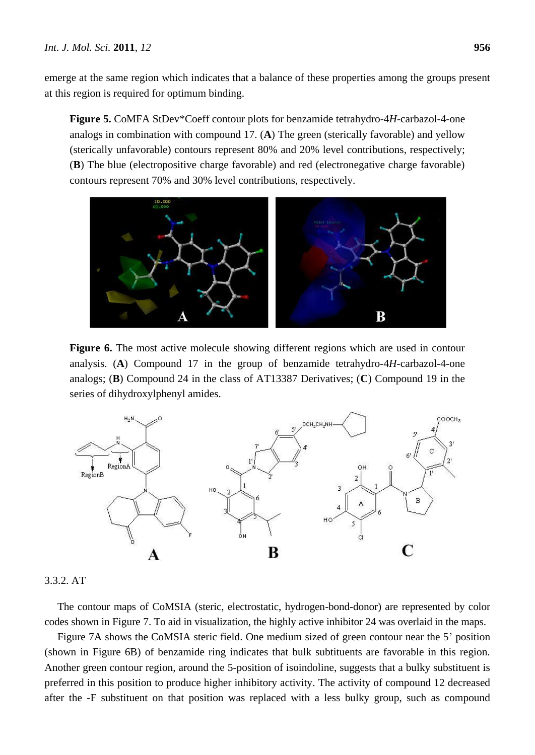emerge at the same region which indicates that a balance of these properties among the groups present at this region is required for optimum binding.

**Figure 5.** CoMFA StDev\*Coeff contour plots for benzamide tetrahydro-4*H*-carbazol-4-one analogs in combination with compound 17. (**A**) The green (sterically favorable) and yellow (sterically unfavorable) contours represent 80% and 20% level contributions, respectively; (**B**) The blue (electropositive charge favorable) and red (electronegative charge favorable) contours represent 70% and 30% level contributions, respectively.



**Figure 6.** The most active molecule showing different regions which are used in contour analysis. (**A**) Compound 17 in the group of benzamide tetrahydro-4*H*-carbazol-4-one analogs; (**B**) Compound 24 in the class of AT13387 Derivatives; (**C**) Compound 19 in the series of dihydroxylphenyl amides.



3.3.2. AT

The contour maps of CoMSIA (steric, electrostatic, hydrogen-bond-donor) are represented by color codes shown in Figure 7. To aid in visualization, the highly active inhibitor 24 was overlaid in the maps.

Figure 7A shows the CoMSIA steric field. One medium sized of green contour near the 5' position (shown in Figure 6B) of benzamide ring indicates that bulk subtituents are favorable in this region. Another green contour region, around the 5-position of isoindoline, suggests that a bulky substituent is preferred in this position to produce higher inhibitory activity. The activity of compound 12 decreased after the -F substituent on that position was replaced with a less bulky group, such as compound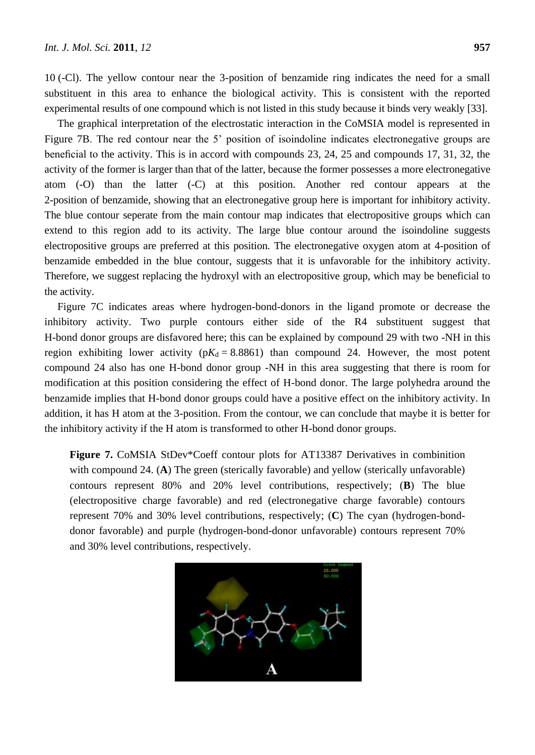10 (-Cl). The yellow contour near the 3-position of benzamide ring indicates the need for a small substituent in this area to enhance the biological activity. This is consistent with the reported experimental results of one compound which is not listed in this study because it binds very weakly [33].

The graphical interpretation of the electrostatic interaction in the CoMSIA model is represented in Figure 7B. The red contour near the 5' position of isoindoline indicates electronegative groups are beneficial to the activity. This is in accord with compounds 23, 24, 25 and compounds 17, 31, 32, the activity of the former is larger than that of the latter, because the former possesses a more electronegative atom (-O) than the latter (-C) at this position. Another red contour appears at the 2-position of benzamide, showing that an electronegative group here is important for inhibitory activity. The blue contour seperate from the main contour map indicates that electropositive groups which can extend to this region add to its activity. The large blue contour around the isoindoline suggests electropositive groups are preferred at this position. The electronegative oxygen atom at 4-position of benzamide embedded in the blue contour, suggests that it is unfavorable for the inhibitory activity. Therefore, we suggest replacing the hydroxyl with an electropositive group, which may be beneficial to the activity.

Figure 7C indicates areas where hydrogen-bond-donors in the ligand promote or decrease the inhibitory activity. Two purple contours either side of the R4 substituent suggest that H-bond donor groups are disfavored here; this can be explained by compound 29 with two -NH in this region exhibiting lower activity ( $pK_d = 8.8861$ ) than compound 24. However, the most potent compound 24 also has one H-bond donor group -NH in this area suggesting that there is room for modification at this position considering the effect of H-bond donor. The large polyhedra around the benzamide implies that H-bond donor groups could have a positive effect on the inhibitory activity. In addition, it has H atom at the 3-position. From the contour, we can conclude that maybe it is better for the inhibitory activity if the H atom is transformed to other H-bond donor groups.

**Figure 7.** CoMSIA StDev\*Coeff contour plots for AT13387 Derivatives in combinition with compound 24. (A) The green (sterically favorable) and yellow (sterically unfavorable) contours represent 80% and 20% level contributions, respectively; (**B**) The blue (electropositive charge favorable) and red (electronegative charge favorable) contours represent 70% and 30% level contributions, respectively; (**C**) The cyan (hydrogen-bonddonor favorable) and purple (hydrogen-bond-donor unfavorable) contours represent 70% and 30% level contributions, respectively.

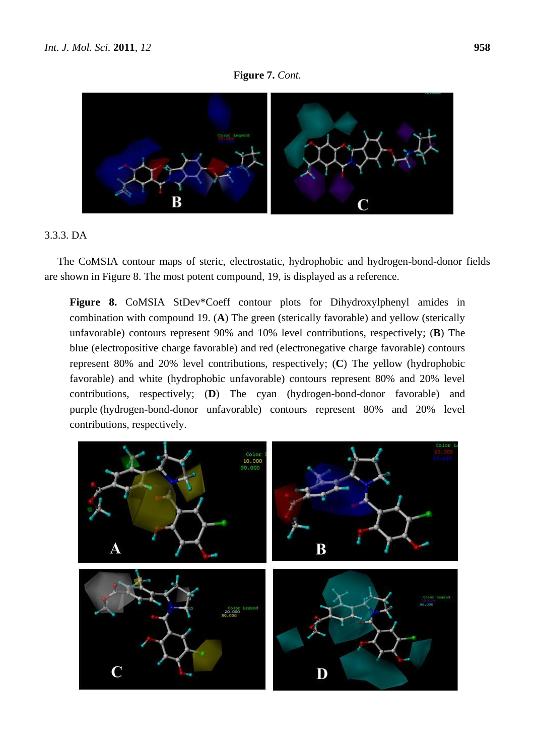



# 3.3.3. DA

The CoMSIA contour maps of steric, electrostatic, hydrophobic and hydrogen-bond-donor fields are shown in Figure 8. The most potent compound, 19, is displayed as a reference.

**Figure 8.** CoMSIA StDev\*Coeff contour plots for Dihydroxylphenyl amides in combination with compound 19. (**A**) The green (sterically favorable) and yellow (sterically unfavorable) contours represent 90% and 10% level contributions, respectively; (**B**) The blue (electropositive charge favorable) and red (electronegative charge favorable) contours represent 80% and 20% level contributions, respectively; (**C**) The yellow (hydrophobic favorable) and white (hydrophobic unfavorable) contours represent 80% and 20% level contributions, respectively; (**D**) The cyan (hydrogen-bond-donor favorable) and purple (hydrogen-bond-donor unfavorable) contours represent 80% and 20% level contributions, respectively.

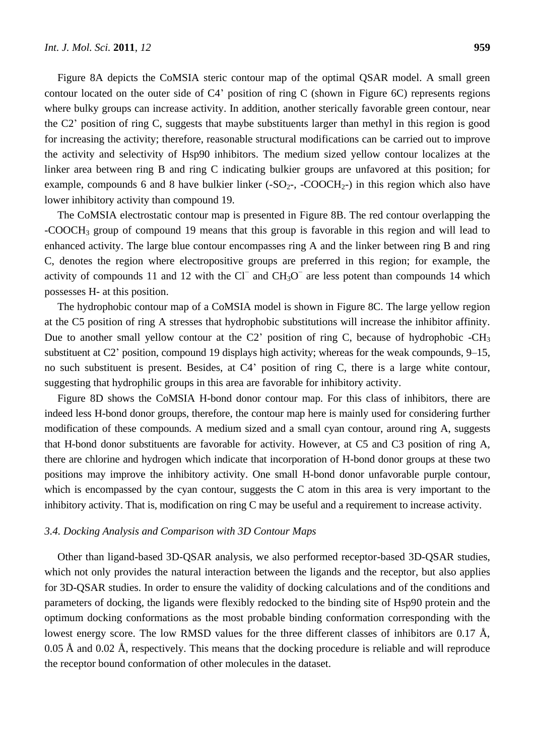Figure 8A depicts the CoMSIA steric contour map of the optimal QSAR model. A small green contour located on the outer side of C4' position of ring C (shown in Figure 6C) represents regions where bulky groups can increase activity. In addition, another sterically favorable green contour, near the C2' position of ring C, suggests that maybe substituents larger than methyl in this region is good for increasing the activity; therefore, reasonable structural modifications can be carried out to improve the activity and selectivity of Hsp90 inhibitors. The medium sized yellow contour localizes at the linker area between ring B and ring C indicating bulkier groups are unfavored at this position; for example, compounds 6 and 8 have bulkier linker  $(-SO_2, -COOCH_2)$  in this region which also have lower inhibitory activity than compound 19.

The CoMSIA electrostatic contour map is presented in Figure 8B. The red contour overlapping the -COOCH<sup>3</sup> group of compound 19 means that this group is favorable in this region and will lead to enhanced activity. The large blue contour encompasses ring A and the linker between ring B and ring C, denotes the region where electropositive groups are preferred in this region; for example, the activity of compounds 11 and 12 with the  $Cl$ <sup>-</sup> and  $CH<sub>3</sub>O$ <sup>-</sup> are less potent than compounds 14 which possesses H- at this position.

The hydrophobic contour map of a CoMSIA model is shown in Figure 8C. The large yellow region at the C5 position of ring A stresses that hydrophobic substitutions will increase the inhibitor affinity. Due to another small yellow contour at the C2' position of ring C, because of hydrophobic -CH<sub>3</sub> substituent at C2' position, compound 19 displays high activity; whereas for the weak compounds, 9–15, no such substituent is present. Besides, at C4' position of ring C, there is a large white contour, suggesting that hydrophilic groups in this area are favorable for inhibitory activity.

Figure 8D shows the CoMSIA H-bond donor contour map. For this class of inhibitors, there are indeed less H-bond donor groups, therefore, the contour map here is mainly used for considering further modification of these compounds. A medium sized and a small cyan contour, around ring A, suggests that H-bond donor substituents are favorable for activity. However, at C5 and C3 position of ring A, there are chlorine and hydrogen which indicate that incorporation of H-bond donor groups at these two positions may improve the inhibitory activity. One small H-bond donor unfavorable purple contour, which is encompassed by the cyan contour, suggests the C atom in this area is very important to the inhibitory activity. That is, modification on ring C may be useful and a requirement to increase activity.

# *3.4. Docking Analysis and Comparison with 3D Contour Maps*

Other than ligand-based 3D-QSAR analysis, we also performed receptor-based 3D-QSAR studies, which not only provides the natural interaction between the ligands and the receptor, but also applies for 3D-QSAR studies. In order to ensure the validity of docking calculations and of the conditions and parameters of docking, the ligands were flexibly redocked to the binding site of Hsp90 protein and the optimum docking conformations as the most probable binding conformation corresponding with the lowest energy score. The low RMSD values for the three different classes of inhibitors are 0.17 Å,  $0.05 \text{ Å}$  and  $0.02 \text{ Å}$ , respectively. This means that the docking procedure is reliable and will reproduce the receptor bound conformation of other molecules in the dataset.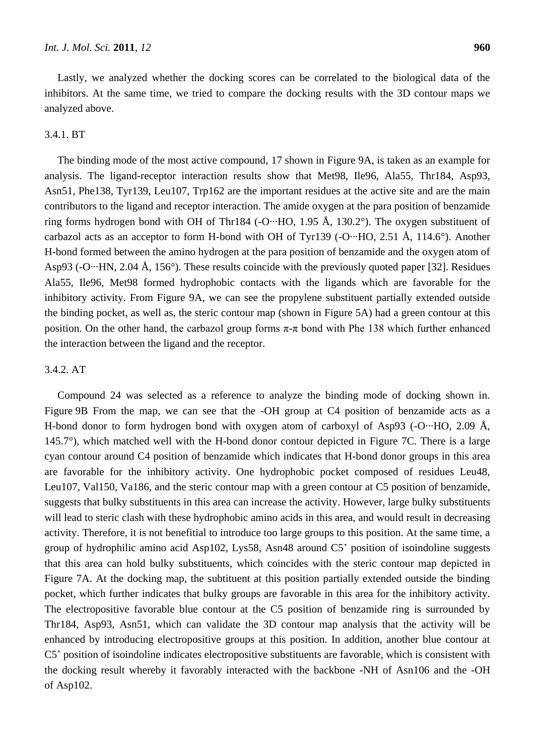Lastly, we analyzed whether the docking scores can be correlated to the biological data of the inhibitors. At the same time, we tried to compare the docking results with the 3D contour maps we analyzed above.

# 3.4.1. BT

The binding mode of the most active compound, 17 shown in Figure 9A, is taken as an example for analysis. The ligand-receptor interaction results show that Met98, Ile96, Ala55, Thr184, Asp93, Asn51, Phe138, Tyr139, Leu107, Trp162 are the important residues at the active site and are the main contributors to the ligand and receptor interaction. The amide oxygen at the para position of benzamide ring forms hydrogen bond with OH of Thr184 (-O  $\cdot$ -HO, 1.95 Å, 130.2  $\degree$ ). The oxygen substituent of carbazol acts as an acceptor to form H-bond with OH of Tyr139 (-O  $\cdot$ -HO, 2.51 Å, 114.6 $\degree$ ). Another H-bond formed between the amino hydrogen at the para position of benzamide and the oxygen atom of Asp93 (-O  $\cdot$ HN, 2.04 Å, 156 $\degree$ ). These results coincide with the previously quoted paper [32]. Residues Ala55, Ile96, Met98 formed hydrophobic contacts with the ligands which are favorable for the inhibitory activity. From Figure 9A, we can see the propylene substituent partially extended outside the binding pocket, as well as, the steric contour map (shown in Figure 5A) had a green contour at this position. On the other hand, the carbazol group forms  $\pi$ - $\pi$  bond with Phe 138 which further enhanced the interaction between the ligand and the receptor.

### 3.4.2. AT

Compound 24 was selected as a reference to analyze the binding mode of docking shown in. Figure 9B From the map, we can see that the -OH group at C4 position of benzamide acts as a H-bond donor to form hydrogen bond with oxygen atom of carboxyl of Asp93 (-O ···HO, 2.09 Å, 145.7°), which matched well with the H-bond donor contour depicted in Figure 7C. There is a large cyan contour around C4 position of benzamide which indicates that H-bond donor groups in this area are favorable for the inhibitory activity. One hydrophobic pocket composed of residues Leu48, Leu107, Val150, Va186, and the steric contour map with a green contour at C5 position of benzamide, suggests that bulky substituents in this area can increase the activity. However, large bulky substituents will lead to steric clash with these hydrophobic amino acids in this area, and would result in decreasing activity. Therefore, it is not benefitial to introduce too large groups to this position. At the same time, a group of hydrophilic amino acid Asp102, Lys58, Asn48 around C5' position of isoindoline suggests that this area can hold bulky substituents, which coincides with the steric contour map depicted in Figure 7A. At the docking map, the subtituent at this position partially extended outside the binding pocket, which further indicates that bulky groups are favorable in this area for the inhibitory activity. The electropositive favorable blue contour at the C5 position of benzamide ring is surrounded by Thr184, Asp93, Asn51, which can validate the 3D contour map analysis that the activity will be enhanced by introducing electropositive groups at this position. In addition, another blue contour at C5' position of isoindoline indicates electropositive substituents are favorable, which is consistent with the docking result whereby it favorably interacted with the backbone -NH of Asn106 and the -OH of Asp102.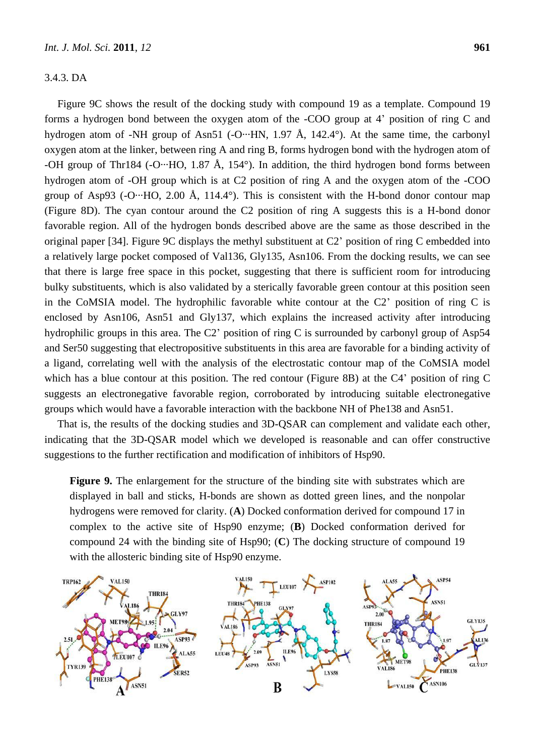## 3.4.3. DA

Figure 9C shows the result of the docking study with compound 19 as a template. Compound 19 forms a hydrogen bond between the oxygen atom of the -COO group at 4' position of ring C and hydrogen atom of -NH group of Asn51 (-O  $\cdot$ -HN, 1.97 Å, 142.4  $\degree$ ). At the same time, the carbonyl oxygen atom at the linker, between ring A and ring B, forms hydrogen bond with the hydrogen atom of -OH group of Thr184 (-O  $\cdot$ HO, 1.87 Å, 154 $\degree$ ). In addition, the third hydrogen bond forms between hydrogen atom of -OH group which is at C2 position of ring A and the oxygen atom of the -COO group of Asp93 (-O  $\cdot$ -HO, 2.00 Å, 114.4 °). This is consistent with the H-bond donor contour map (Figure 8D). The cyan contour around the C2 position of ring A suggests this is a H-bond donor favorable region. All of the hydrogen bonds described above are the same as those described in the original paper [34]. Figure 9C displays the methyl substituent at C2' position of ring C embedded into a relatively large pocket composed of Val136, Gly135, Asn106. From the docking results, we can see that there is large free space in this pocket, suggesting that there is sufficient room for introducing bulky substituents, which is also validated by a sterically favorable green contour at this position seen in the CoMSIA model. The hydrophilic favorable white contour at the C2' position of ring C is enclosed by Asn106, Asn51 and Gly137, which explains the increased activity after introducing hydrophilic groups in this area. The C2' position of ring C is surrounded by carbonyl group of Asp54 and Ser50 suggesting that electropositive substituents in this area are favorable for a binding activity of a ligand, correlating well with the analysis of the electrostatic contour map of the CoMSIA model which has a blue contour at this position. The red contour (Figure 8B) at the C4' position of ring C suggests an electronegative favorable region, corroborated by introducing suitable electronegative groups which would have a favorable interaction with the backbone NH of Phe138 and Asn51.

That is, the results of the docking studies and 3D-QSAR can complement and validate each other, indicating that the 3D-QSAR model which we developed is reasonable and can offer constructive suggestions to the further rectification and modification of inhibitors of Hsp90.

**Figure 9.** The enlargement for the structure of the binding site with substrates which are displayed in ball and sticks, H-bonds are shown as dotted green lines, and the nonpolar hydrogens were removed for clarity. (**A**) Docked conformation derived for compound 17 in complex to the active site of Hsp90 enzyme; (**B**) Docked conformation derived for compound 24 with the binding site of Hsp90; (**C**) The docking structure of compound 19 with the allosteric binding site of Hsp90 enzyme.

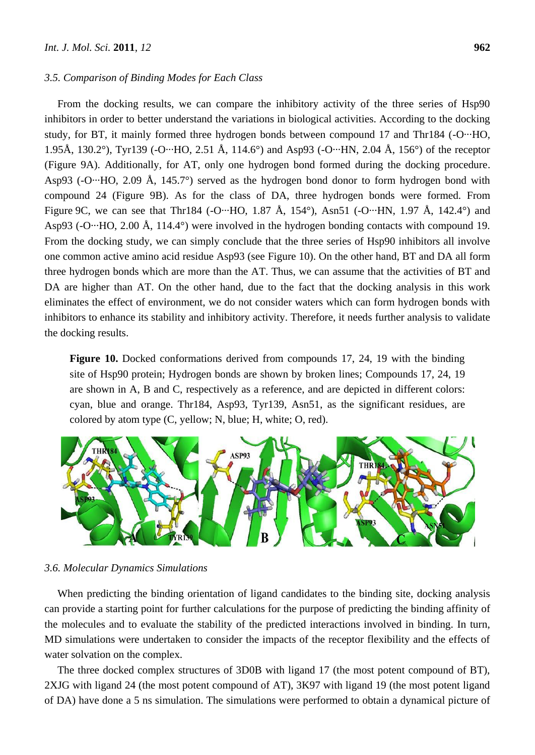#### *3.5. Comparison of Binding Modes for Each Class*

From the docking results, we can compare the inhibitory activity of the three series of Hsp90 inhibitors in order to better understand the variations in biological activities. According to the docking study, for BT, it mainly formed three hydrogen bonds between compound 17 and Thr184  $(-O \cdot \text{HO})$ , 1.95Å, 130.2°), Tyr139 (-O···HO, 2.51 Å, 114.6°) and Asp93 (-O···HN, 2.04 Å, 156°) of the receptor (Figure 9A). Additionally, for AT, only one hydrogen bond formed during the docking procedure. Asp93 (-O···HO, 2.09 Å, 145.7°) served as the hydrogen bond donor to form hydrogen bond with compound 24 (Figure 9B). As for the class of DA, three hydrogen bonds were formed. From Figure 9C, we can see that Thr184 (-O  $\cdot$  HO, 1.87 Å, 154  $\degree$ ), Asn51 (-O  $\cdot$  HN, 1.97 Å, 142.4  $\degree$ ) and Asp93 (-O  $\cdot$ HO, 2.00 Å, 114.4 $\degree$ ) were involved in the hydrogen bonding contacts with compound 19. From the docking study, we can simply conclude that the three series of Hsp90 inhibitors all involve one common active amino acid residue Asp93 (see Figure 10). On the other hand, BT and DA all form three hydrogen bonds which are more than the AT. Thus, we can assume that the activities of BT and DA are higher than AT. On the other hand, due to the fact that the docking analysis in this work eliminates the effect of environment, we do not consider waters which can form hydrogen bonds with inhibitors to enhance its stability and inhibitory activity. Therefore, it needs further analysis to validate the docking results.

**Figure 10.** Docked conformations derived from compounds 17, 24, 19 with the binding site of Hsp90 protein; Hydrogen bonds are shown by broken lines; Compounds 17, 24, 19 are shown in A, B and C, respectively as a reference, and are depicted in different colors: cyan, blue and orange. Thr184, Asp93, Tyr139, Asn51, as the significant residues, are colored by atom type (C, yellow; N, blue; H, white; O, red).



## *3.6. Molecular Dynamics Simulations*

When predicting the binding orientation of ligand candidates to the binding site, docking analysis can provide a starting point for further calculations for the purpose of predicting the binding affinity of the molecules and to evaluate the stability of the predicted interactions involved in binding. In turn, MD simulations were undertaken to consider the impacts of the receptor flexibility and the effects of water solvation on the complex.

The three docked complex structures of 3D0B with ligand 17 (the most potent compound of BT), 2XJG with ligand 24 (the most potent compound of AT), 3K97 with ligand 19 (the most potent ligand of DA) have done a 5 ns simulation. The simulations were performed to obtain a dynamical picture of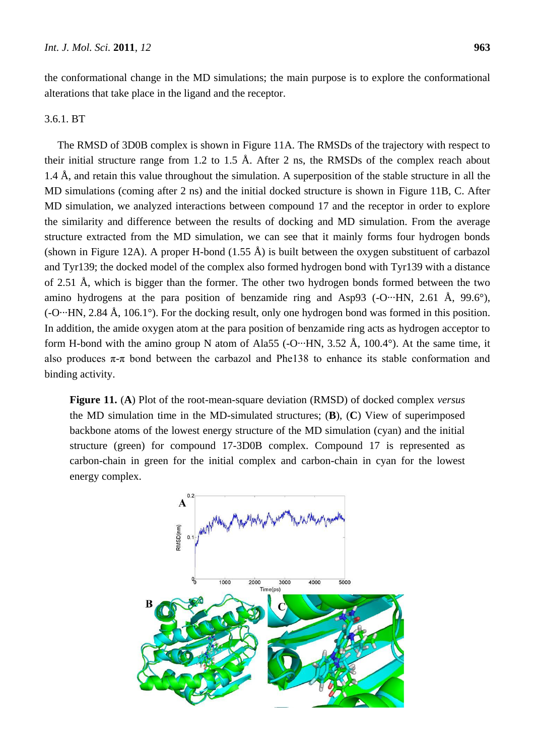the conformational change in the MD simulations; the main purpose is to explore the conformational alterations that take place in the ligand and the receptor.

## 3.6.1. BT

The RMSD of 3D0B complex is shown in Figure 11A. The RMSDs of the trajectory with respect to their initial structure range from 1.2 to 1.5 Å. After 2 ns, the RMSDs of the complex reach about 1.4 Å, and retain this value throughout the simulation. A superposition of the stable structure in all the MD simulations (coming after 2 ns) and the initial docked structure is shown in Figure 11B, C. After MD simulation, we analyzed interactions between compound 17 and the receptor in order to explore the similarity and difference between the results of docking and MD simulation. From the average structure extracted from the MD simulation, we can see that it mainly forms four hydrogen bonds (shown in Figure 12A). A proper H-bond (1.55 Å) is built between the oxygen substituent of carbazol and Tyr139; the docked model of the complex also formed hydrogen bond with Tyr139 with a distance of 2.51 Å, which is bigger than the former. The other two hydrogen bonds formed between the two amino hydrogens at the para position of benzamide ring and Asp93 (-O  $\cdot$ -HN, 2.61 Å, 99.6 $\degree$ ),  $(-O \cdot HN, 2.84 \text{ Å}, 106.1 \text{°})$ . For the docking result, only one hydrogen bond was formed in this position. In addition, the amide oxygen atom at the para position of benzamide ring acts as hydrogen acceptor to form H-bond with the amino group N atom of Ala55 (-O  $\cdot$ -HN, 3.52 Å, 100.4  $\degree$ ). At the same time, it also produces  $\pi$ - $\pi$  bond between the carbazol and Phe138 to enhance its stable conformation and binding activity.

**Figure 11.** (**A**) Plot of the root-mean-square deviation (RMSD) of docked complex *versus* the MD simulation time in the MD-simulated structures; (**B**), (**C**) View of superimposed backbone atoms of the lowest energy structure of the MD simulation (cyan) and the initial structure (green) for compound 17-3D0B complex. Compound 17 is represented as carbon-chain in green for the initial complex and carbon-chain in cyan for the lowest energy complex.

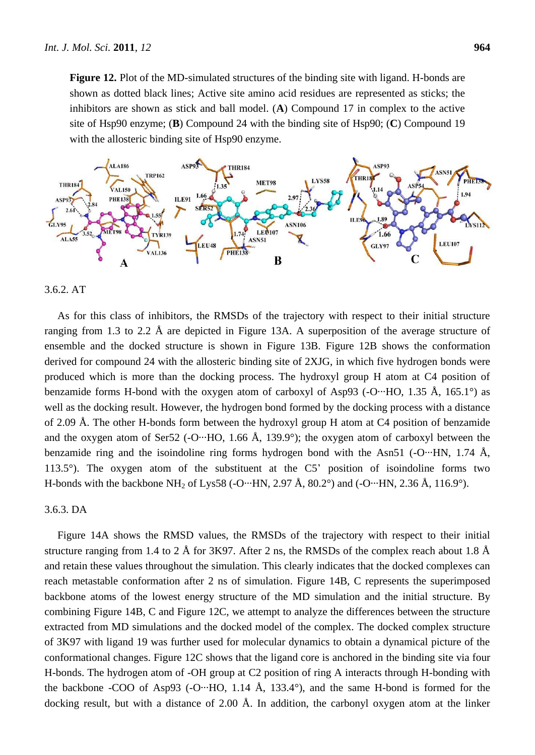Figure 12. Plot of the MD-simulated structures of the binding site with ligand. H-bonds are shown as dotted black lines; Active site amino acid residues are represented as sticks; the inhibitors are shown as stick and ball model. (**A**) Compound 17 in complex to the active site of Hsp90 enzyme; (**B**) Compound 24 with the binding site of Hsp90; (**C**) Compound 19 with the allosteric binding site of Hsp90 enzyme.



3.6.2. AT

As for this class of inhibitors, the RMSDs of the trajectory with respect to their initial structure ranging from 1.3 to 2.2 Å are depicted in Figure 13A. A superposition of the average structure of ensemble and the docked structure is shown in Figure 13B. Figure 12B shows the conformation derived for compound 24 with the allosteric binding site of 2XJG, in which five hydrogen bonds were produced which is more than the docking process. The hydroxyl group H atom at C4 position of benzamide forms H-bond with the oxygen atom of carboxyl of Asp93 (-O  $\cdot$ -HO, 1.35 Å, 165.1 $\degree$ ) as well as the docking result. However, the hydrogen bond formed by the docking process with a distance of 2.09 Å. The other H-bonds form between the hydroxyl group H atom at C4 position of benzamide and the oxygen atom of Ser52 (-O  $\cdot$ -HO, 1.66 Å, 139.9  $\gamma$ ; the oxygen atom of carboxyl between the benzamide ring and the isoindoline ring forms hydrogen bond with the Asn51 (-O  $\cdot$ -HN, 1.74 Å, 113.5°). The oxygen atom of the substituent at the C5' position of isoindoline forms two H-bonds with the backbone NH<sub>2</sub> of Lys58 (-O  $\cdot$ -HN, 2.97 Å, 80.2  $\degree$ ) and (-O  $\cdot$ -HN, 2.36 Å, 116.9  $\degree$ ).

3.6.3. DA

Figure 14A shows the RMSD values, the RMSDs of the trajectory with respect to their initial structure ranging from 1.4 to 2 Å for 3K97. After 2 ns, the RMSDs of the complex reach about 1.8 Å and retain these values throughout the simulation. This clearly indicates that the docked complexes can reach metastable conformation after 2 ns of simulation. Figure 14B, C represents the superimposed backbone atoms of the lowest energy structure of the MD simulation and the initial structure. By combining Figure 14B, C and Figure 12C, we attempt to analyze the differences between the structure extracted from MD simulations and the docked model of the complex. The docked complex structure of 3K97 with ligand 19 was further used for molecular dynamics to obtain a dynamical picture of the conformational changes. Figure 12C shows that the ligand core is anchored in the binding site via four H-bonds. The hydrogen atom of -OH group at C2 position of ring A interacts through H-bonding with the backbone -COO of Asp93 (-O  $\cdot$ HO, 1.14 Å, 133.4  $\gamma$ , and the same H-bond is formed for the docking result, but with a distance of 2.00 Å. In addition, the carbonyl oxygen atom at the linker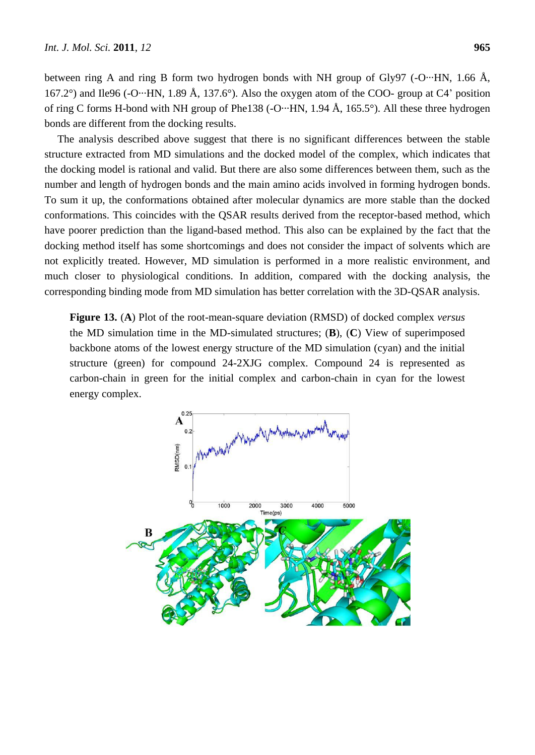between ring A and ring B form two hydrogen bonds with NH group of Gly97 (-O  $\cdot$ -HN, 1.66 Å, 167.2°) and Ile96 (-O  $\cdot$ -HN, 1.89 Å, 137.6°). Also the oxygen atom of the COO- group at C4' position of ring C forms H-bond with NH group of Phe138 (-O  $\cdot$ -HN, 1.94 Å, 165.5  $\degree$ ). All these three hydrogen bonds are different from the docking results.

The analysis described above suggest that there is no significant differences between the stable structure extracted from MD simulations and the docked model of the complex, which indicates that the docking model is rational and valid. But there are also some differences between them, such as the number and length of hydrogen bonds and the main amino acids involved in forming hydrogen bonds. To sum it up, the conformations obtained after molecular dynamics are more stable than the docked conformations. This coincides with the QSAR results derived from the receptor-based method, which have poorer prediction than the ligand-based method. This also can be explained by the fact that the docking method itself has some shortcomings and does not consider the impact of solvents which are not explicitly treated. However, MD simulation is performed in a more realistic environment, and much closer to physiological conditions. In addition, compared with the docking analysis, the corresponding binding mode from MD simulation has better correlation with the 3D-QSAR analysis.

**Figure 13.** (**A**) Plot of the root-mean-square deviation (RMSD) of docked complex *versus* the MD simulation time in the MD-simulated structures; (**B**), (**C**) View of superimposed backbone atoms of the lowest energy structure of the MD simulation (cyan) and the initial structure (green) for compound 24-2XJG complex. Compound 24 is represented as carbon-chain in green for the initial complex and carbon-chain in cyan for the lowest energy complex.

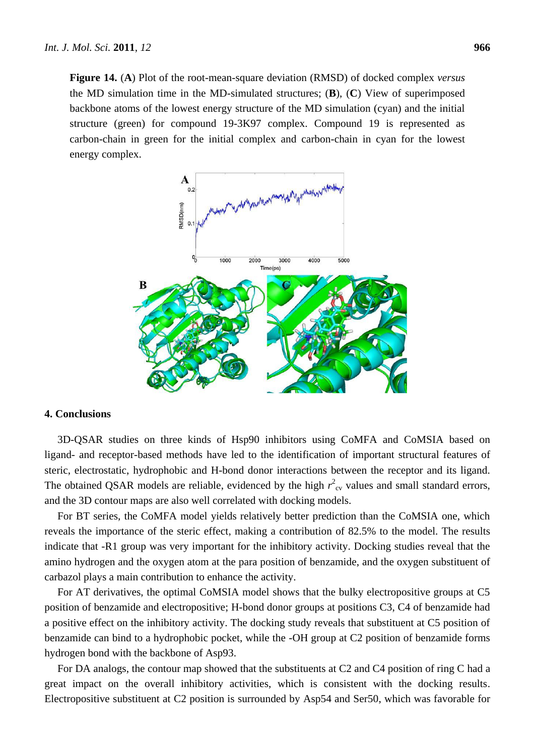**Figure 14.** (**A**) Plot of the root-mean-square deviation (RMSD) of docked complex *versus* the MD simulation time in the MD-simulated structures; (**B**), (**C**) View of superimposed backbone atoms of the lowest energy structure of the MD simulation (cyan) and the initial structure (green) for compound 19-3K97 complex. Compound 19 is represented as carbon-chain in green for the initial complex and carbon-chain in cyan for the lowest energy complex.



#### **4. Conclusions**

3D-QSAR studies on three kinds of Hsp90 inhibitors using CoMFA and CoMSIA based on ligand- and receptor-based methods have led to the identification of important structural features of steric, electrostatic, hydrophobic and H-bond donor interactions between the receptor and its ligand. The obtained QSAR models are reliable, evidenced by the high  $r_{\rm cv}^2$  values and small standard errors, and the 3D contour maps are also well correlated with docking models.

For BT series, the CoMFA model yields relatively better prediction than the CoMSIA one, which reveals the importance of the steric effect, making a contribution of 82.5% to the model. The results indicate that -R1 group was very important for the inhibitory activity. Docking studies reveal that the amino hydrogen and the oxygen atom at the para position of benzamide, and the oxygen substituent of carbazol plays a main contribution to enhance the activity.

For AT derivatives, the optimal CoMSIA model shows that the bulky electropositive groups at C5 position of benzamide and electropositive; H-bond donor groups at positions C3, C4 of benzamide had a positive effect on the inhibitory activity. The docking study reveals that substituent at C5 position of benzamide can bind to a hydrophobic pocket, while the -OH group at C2 position of benzamide forms hydrogen bond with the backbone of Asp93.

For DA analogs, the contour map showed that the substituents at C2 and C4 position of ring C had a great impact on the overall inhibitory activities, which is consistent with the docking results. Electropositive substituent at C2 position is surrounded by Asp54 and Ser50, which was favorable for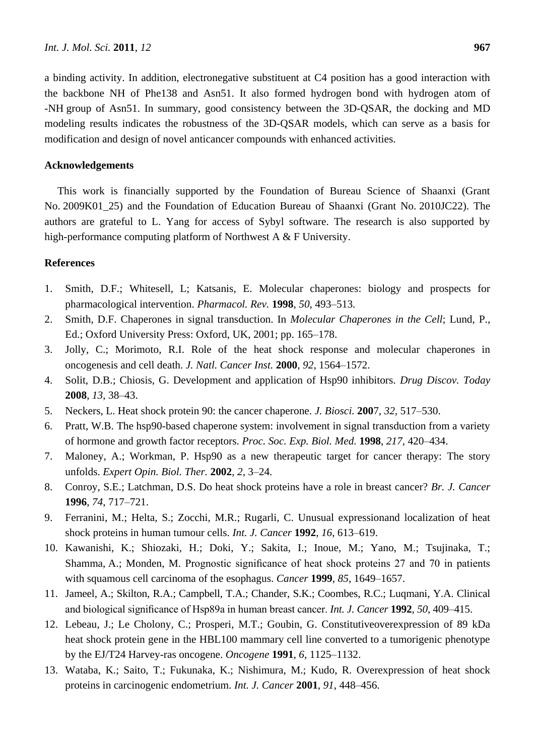a binding activity. In addition, electronegative substituent at C4 position has a good interaction with the backbone NH of Phe138 and Asn51. It also formed hydrogen bond with hydrogen atom of -NH group of Asn51. In summary, good consistency between the 3D-QSAR, the docking and MD modeling results indicates the robustness of the 3D-QSAR models, which can serve as a basis for modification and design of novel anticancer compounds with enhanced activities.

# **Acknowledgements**

This work is financially supported by the Foundation of Bureau Science of Shaanxi (Grant No. 2009K01\_25) and the Foundation of Education Bureau of Shaanxi (Grant No. 2010JC22). The authors are grateful to L. Yang for access of Sybyl software. The research is also supported by high-performance computing platform of Northwest A & F University.

# **References**

- 1. Smith, D.F.; Whitesell, L; Katsanis, E. Molecular chaperones: biology and prospects for pharmacological intervention. *Pharmacol. Rev.* **1998**, *50*, 493–513.
- 2. Smith, D.F. Chaperones in signal transduction. In *Molecular Chaperones in the Cell*; Lund, P., Ed.; Oxford University Press: Oxford, UK, 2001; pp. 165–178.
- 3. Jolly, C.; Morimoto, R.I. Role of the heat shock response and molecular chaperones in oncogenesis and cell death. *J. Natl. Cancer Inst.* **2000**, *92*, 1564–1572.
- 4. Solit, D.B.; Chiosis, G. Development and application of Hsp90 inhibitors. *Drug Discov. Today* **2008**, *13*, 38–43.
- 5. Neckers, L. Heat shock protein 90: the cancer chaperone. *J. Biosci.* **200**7, *32*, 517–530.
- 6. Pratt, W.B. The hsp90-based chaperone system: involvement in signal transduction from a variety of hormone and growth factor receptors. *Proc. Soc. Exp. Biol. Med.* **1998**, *217*, 420–434.
- 7. Maloney, A.; Workman, P. Hsp90 as a new therapeutic target for cancer therapy: The story unfolds. *Expert Opin. Biol. Ther.* **2002**, *2*, 3–24.
- 8. Conroy, S.E.; Latchman, D.S. Do heat shock proteins have a role in breast cancer? *Br. J. Cancer* **1996**, *74*, 717–721.
- 9. Ferranini, M.; Helta, S.; Zocchi, M.R.; Rugarli, C. Unusual expressionand localization of heat shock proteins in human tumour cells. *Int. J. Cancer* **1992**, *16*, 613–619.
- 10. Kawanishi, K.; Shiozaki, H.; Doki, Y.; Sakita, I.; Inoue, M.; Yano, M.; Tsujinaka, T.; Shamma, A.; Monden, M. Prognostic significance of heat shock proteins 27 and 70 in patients with squamous cell carcinoma of the esophagus. *Cancer* **1999**, *85*, 1649–1657.
- 11. Jameel, A.; Skilton, R.A.; Campbell, T.A.; Chander, S.K.; Coombes, R.C.; Luqmani, Y.A. Clinical and biological significance of Hsp89a in human breast cancer. *Int. J. Cancer* **1992**, *50*, 409–415.
- 12. Lebeau, J.; Le Cholony, C.; Prosperi, M.T.; Goubin, G. Constitutiveoverexpression of 89 kDa heat shock protein gene in the HBL100 mammary cell line converted to a tumorigenic phenotype by the EJ/T24 Harvey-ras oncogene. *Oncogene* **1991**, *6*, 1125–1132.
- 13. Wataba, K.; Saito, T.; Fukunaka, K.; Nishimura, M.; Kudo, R. Overexpression of heat shock proteins in carcinogenic endometrium. *Int. J. Cancer* **2001**, *91*, 448–456.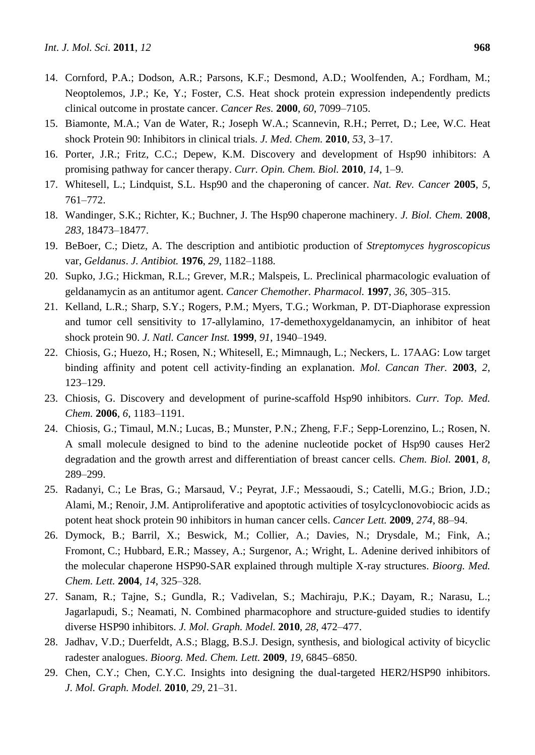- 14. Cornford, P.A.; Dodson, A.R.; Parsons, K.F.; Desmond, A.D.; Woolfenden, A.; Fordham, M.; Neoptolemos, J.P.; Ke, Y.; Foster, C.S. Heat shock protein expression independently predicts clinical outcome in prostate cancer. *Cancer Res.* **2000**, *60*, 7099–7105.
- 15. Biamonte, M.A.; Van de Water, R.; Joseph W.A.; Scannevin, R.H.; Perret, D.; Lee, W.C. Heat shock Protein 90: Inhibitors in clinical trials. *J. Med. Chem.* **2010**, *53*, 3–17.
- 16. Porter, J.R.; Fritz, C.C.; Depew, K.M. Discovery and development of Hsp90 inhibitors: A promising pathway for cancer therapy. *Curr. Opin. Chem. Biol.* **2010**, *14*, 1–9.
- 17. Whitesell, L.; Lindquist, S.L. Hsp90 and the chaperoning of cancer. *Nat. Rev. Cancer* **2005**, *5*, 761–772.
- 18. Wandinger, S.K.; Richter, K.; Buchner, J. The Hsp90 chaperone machinery. *J. Biol. Chem.* **2008**, *283*, 18473–18477.
- 19. BeBoer, C.; Dietz, A. The description and antibiotic production of *Streptomyces hygroscopicus* var, *Geldanus*. *J. Antibiot.* **1976**, *29*, 1182–1188.
- 20. Supko, J.G.; Hickman, R.L.; Grever, M.R.; Malspeis, L. Preclinical pharmacologic evaluation of geldanamycin as an antitumor agent. *Cancer Chemother. Pharmacol.* **1997**, *36*, 305–315.
- 21. Kelland, L.R.; Sharp, S.Y.; Rogers, P.M.; Myers, T.G.; Workman, P. DT-Diaphorase expression and tumor cell sensitivity to 17-allylamino, 17-demethoxygeldanamycin, an inhibitor of heat shock protein 90. *J. Natl. Cancer Inst.* **1999**, *91*, 1940–1949.
- 22. Chiosis, G.; Huezo, H.; Rosen, N.; Whitesell, E.; Mimnaugh, L.; Neckers, L. 17AAG: Low target binding affinity and potent cell activity-finding an explanation. *Mol. Cancan Ther.* **2003**, *2*, 123–129.
- 23. Chiosis, G. Discovery and development of purine-scaffold Hsp90 inhibitors. *Curr. Top. Med. Chem.* **2006**, *6*, 1183–1191.
- 24. Chiosis, G.; Timaul, M.N.; Lucas, B.; Munster, P.N.; Zheng, F.F.; Sepp-Lorenzino, L.; Rosen, N. A small molecule designed to bind to the adenine nucleotide pocket of Hsp90 causes Her2 degradation and the growth arrest and differentiation of breast cancer cells. *Chem. Biol.* **2001**, *8*, 289–299.
- 25. Radanyi, C.; Le Bras, G.; Marsaud, V.; Peyrat, J.F.; Messaoudi, S.; Catelli, M.G.; Brion, J.D.; Alami, M.; Renoir, J.M. Antiproliferative and apoptotic activities of tosylcyclonovobiocic acids as potent heat shock protein 90 inhibitors in human cancer cells. *Cancer Lett.* **2009**, *274*, 88–94.
- 26. Dymock, B.; Barril, X.; Beswick, M.; Collier, A.; Davies, N.; Drysdale, M.; Fink, A.; Fromont, C.; Hubbard, E.R.; Massey, A.; Surgenor, A.; Wright, L. Adenine derived inhibitors of the molecular chaperone HSP90-SAR explained through multiple X-ray structures. *Bioorg. Med. Chem. Lett.* **2004**, *14*, 325–328.
- 27. Sanam, R.; Tajne, S.; Gundla, R.; Vadivelan, S.; Machiraju, P.K.; Dayam, R.; Narasu, L.; Jagarlapudi, S.; Neamati, N. Combined pharmacophore and structure-guided studies to identify diverse HSP90 inhibitors. *J. Mol. Graph. Model.* **2010**, *28*, 472–477.
- 28. Jadhav, V.D.; Duerfeldt, A.S.; Blagg, B.S.J. Design, synthesis, and biological activity of bicyclic radester analogues. *Bioorg. Med. Chem. Lett.* **2009**, *19*, 6845–6850.
- 29. Chen, C.Y.; Chen, C.Y.C. Insights into designing the dual-targeted HER2/HSP90 inhibitors. *J. Mol. Graph. Model.* **2010**, *29*, 21–31.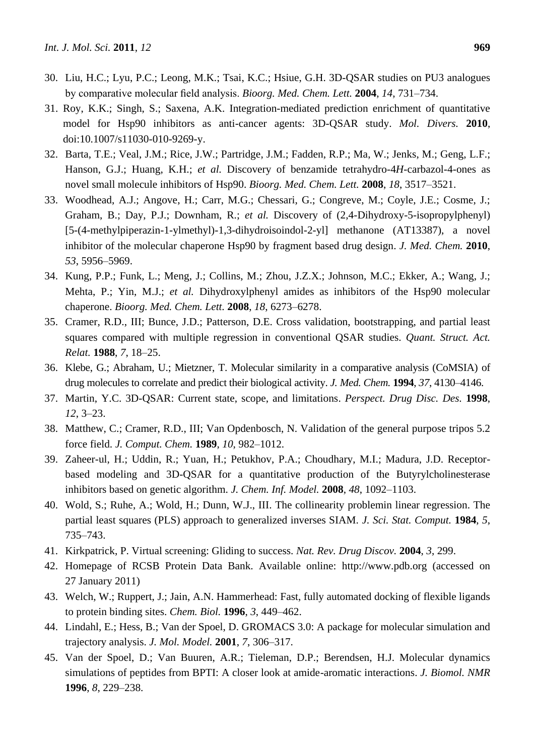- 30. Liu, H.C.; Lyu, P.C.; Leong, M.K.; Tsai, K.C.; Hsiue, G.H. 3D-QSAR studies on PU3 analogues by comparative molecular field analysis. *Bioorg. Med. Chem. Lett.* **2004**, *14*, 731–734.
- 31. Roy, K.K.; Singh, S.; Saxena, A.K. Integration-mediated prediction enrichment of quantitative model for Hsp90 inhibitors as anti-cancer agents: 3D-QSAR study. *Mol. Divers.* **2010**, doi:10.1007/s11030-010-9269-y.
- 32. Barta, T.E.; Veal, J.M.; Rice, J.W.; Partridge, J.M.; Fadden, R.P.; Ma, W.; Jenks, M.; Geng, L.F.; Hanson, G.J.; Huang, K.H.; *et al.* Discovery of benzamide tetrahydro-4*H*-carbazol-4-ones as novel small molecule inhibitors of Hsp90. *Bioorg. Med. Chem. Lett.* **2008**, *18*, 3517–3521.
- 33. Woodhead, A.J.; Angove, H.; Carr, M.G.; Chessari, G.; Congreve, M.; Coyle, J.E.; Cosme, J.; Graham, B.; Day, P.J.; Downham, R.; *et al.* Discovery of (2,4-Dihydroxy-5-isopropylphenyl) [5-(4-methylpiperazin-1-ylmethyl)-1,3-dihydroisoindol-2-yl] methanone (AT13387), a novel inhibitor of the molecular chaperone Hsp90 by fragment based drug design. *J. Med. Chem.* **2010**, *53*, 5956–5969.
- 34. Kung, P.P.; Funk, L.; Meng, J.; Collins, M.; Zhou, J.Z.X.; Johnson, M.C.; Ekker, A.; Wang, J.; Mehta, P.; Yin, M.J.; *et al.* Dihydroxylphenyl amides as inhibitors of the Hsp90 molecular chaperone. *Bioorg. Med. Chem. Lett.* **2008**, *18*, 6273–6278.
- 35. Cramer, R.D., III; Bunce, J.D.; Patterson, D.E. Cross validation, bootstrapping, and partial least squares compared with multiple regression in conventional QSAR studies. *Quant. Struct. Act. Relat.* **1988**, *7*, 18–25.
- 36. Klebe, G.; Abraham, U.; Mietzner, T. Molecular similarity in a comparative analysis (CoMSIA) of drug molecules to correlate and predict their biological activity. *J. Med. Chem.* **1994**, *37*, 4130–4146.
- 37. Martin, Y.C. 3D-QSAR: Current state, scope, and limitations. *Perspect. Drug Disc. Des.* **1998**, *12*, 3–23.
- 38. Matthew, C.; Cramer, R.D., III; Van Opdenbosch, N. Validation of the general purpose tripos 5.2 force field. *J. Comput. Chem.* **1989**, *10*, 982–1012.
- 39. Zaheer-ul, H.; Uddin, R.; Yuan, H.; Petukhov, P.A.; Choudhary, M.I.; Madura, J.D. Receptorbased modeling and 3D-QSAR for a quantitative production of the Butyrylcholinesterase inhibitors based on genetic algorithm. *J. Chem. Inf. Model.* **2008**, *48*, 1092–1103.
- 40. Wold, S.; Ruhe, A.; Wold, H.; Dunn, W.J., III. The collinearity problemin linear regression. The partial least squares (PLS) approach to generalized inverses SIAM. *J. Sci. Stat. Comput.* **1984**, *5*, 735–743.
- 41. Kirkpatrick, P. Virtual screening: Gliding to success. *Nat. Rev. Drug Discov.* **2004**, *3*, 299.
- 42. Homepage of RCSB Protein Data Bank. Available online: [http://www.pdb.org](http://www.pdb.org/) (accessed on 27 January 2011)
- 43. Welch, W.; Ruppert, J.; Jain, A.N. Hammerhead: Fast, fully automated docking of flexible ligands to protein binding sites. *Chem. Biol.* **1996**, *3*, 449–462.
- 44. Lindahl, E.; Hess, B.; Van der Spoel, D. GROMACS 3.0: A package for molecular simulation and trajectory analysis. *J. Mol. Model.* **2001**, *7*, 306–317.
- 45. Van der Spoel, D.; Van Buuren, A.R.; Tieleman, D.P.; Berendsen, H.J. Molecular dynamics simulations of peptides from BPTI: A closer look at amide-aromatic interactions. *J. Biomol. NMR* **1996**, *8*, 229–238.